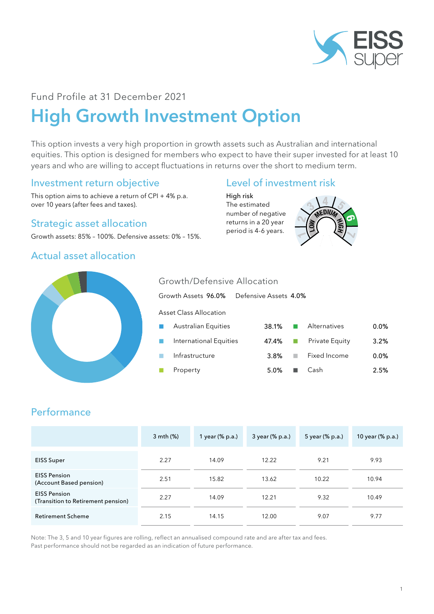

## Fund Profile at 31 December 2021

# High Growth Investment Option

This option invests a very high proportion in growth assets such as Australian and international equities. This option is designed for members who expect to have their super invested for at least 10 years and who are willing to accept fluctuations in returns over the short to medium term.

### Investment return objective

This option aims to achieve a return of CPI + 4% p.a. over 10 years (after fees and taxes).

#### Strategic asset allocation

Growth assets: 85% – 100%. Defensive assets: 0% – 15%.

### Actual asset allocation

### Level of investment risk

High risk The estimated number of negative returns in a 20 year period is 4-6 years.





## Growth/Defensive Allocation

|                  | Growth Assets 96.0%           | Defensive Assets 4.0% |                |         |
|------------------|-------------------------------|-----------------------|----------------|---------|
|                  | <b>Asset Class Allocation</b> |                       |                |         |
| <b>The State</b> | <b>Australian Equities</b>    | 38.1%                 | Alternatives   | $0.0\%$ |
| <b>College</b>   | International Equities        | 47.4%                 | Private Equity | 3.2%    |
|                  | Infrastructure                | 3.8%                  | Fixed Income   | 0.0%    |
|                  | Property                      | 5.0%                  | Cash           | 2.5%    |

## **Performance**

|                                                           | 3 mth (%) | 1 year (% p.a.) | 3 year (% p.a.) | 5 year (% p.a.) | 10 year (% p.a.) |
|-----------------------------------------------------------|-----------|-----------------|-----------------|-----------------|------------------|
| <b>EISS Super</b>                                         | 2.27      | 14.09           | 12.22           | 9.21            | 9.93             |
| <b>EISS Pension</b><br>(Account Based pension)            | 2.51      | 15.82           | 13.62           | 10.22           | 10.94            |
| <b>EISS Pension</b><br>(Transition to Retirement pension) | 2.27      | 14.09           | 12.21           | 9.32            | 10.49            |
| <b>Retirement Scheme</b>                                  | 2.15      | 14.15           | 12.00           | 9.07            | 9.77             |

Note: The 3, 5 and 10 year figures are rolling, reflect an annualised compound rate and are after tax and fees. Past performance should not be regarded as an indication of future performance.